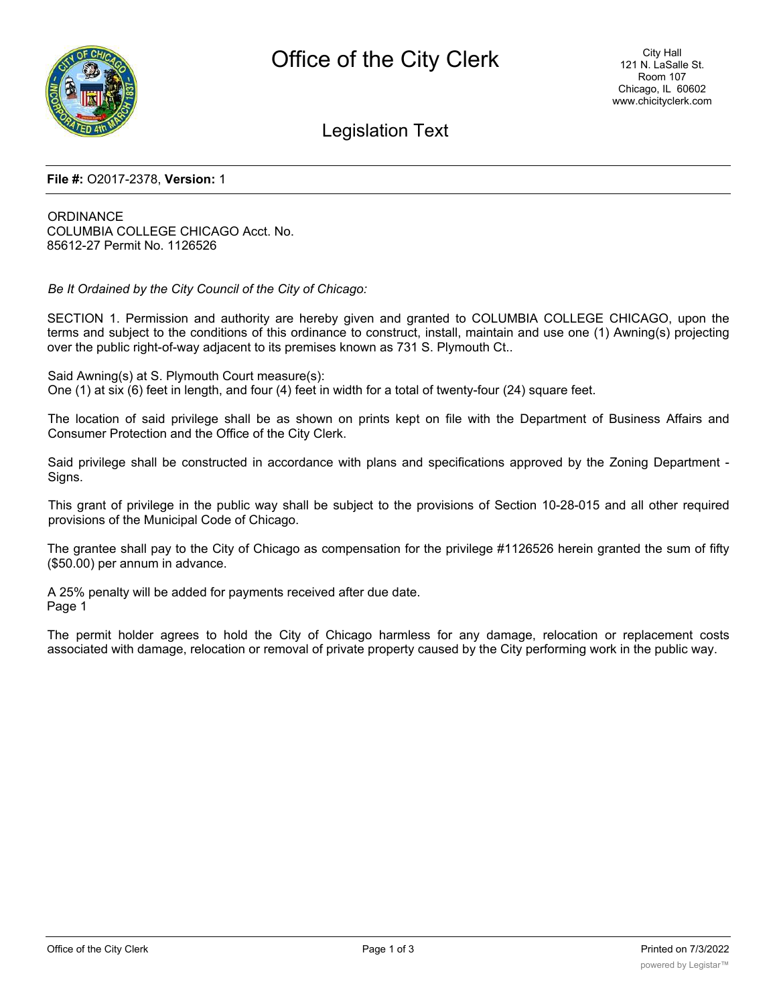

Legislation Text

#### **File #:** O2017-2378, **Version:** 1

**ORDINANCE** COLUMBIA COLLEGE CHICAGO Acct. No. 85612-27 Permit No. 1126526

*Be It Ordained by the City Council of the City of Chicago:*

SECTION 1. Permission and authority are hereby given and granted to COLUMBIA COLLEGE CHICAGO, upon the terms and subject to the conditions of this ordinance to construct, install, maintain and use one (1) Awning(s) projecting over the public right-of-way adjacent to its premises known as 731 S. Plymouth Ct..

Said Awning(s) at S. Plymouth Court measure(s): One (1) at six (6) feet in length, and four (4) feet in width for a total of twenty-four (24) square feet.

The location of said privilege shall be as shown on prints kept on file with the Department of Business Affairs and Consumer Protection and the Office of the City Clerk.

Said privilege shall be constructed in accordance with plans and specifications approved by the Zoning Department - Signs.

This grant of privilege in the public way shall be subject to the provisions of Section 10-28-015 and all other required provisions of the Municipal Code of Chicago.

The grantee shall pay to the City of Chicago as compensation for the privilege #1126526 herein granted the sum of fifty (\$50.00) per annum in advance.

A 25% penalty will be added for payments received after due date. Page 1

The permit holder agrees to hold the City of Chicago harmless for any damage, relocation or replacement costs associated with damage, relocation or removal of private property caused by the City performing work in the public way.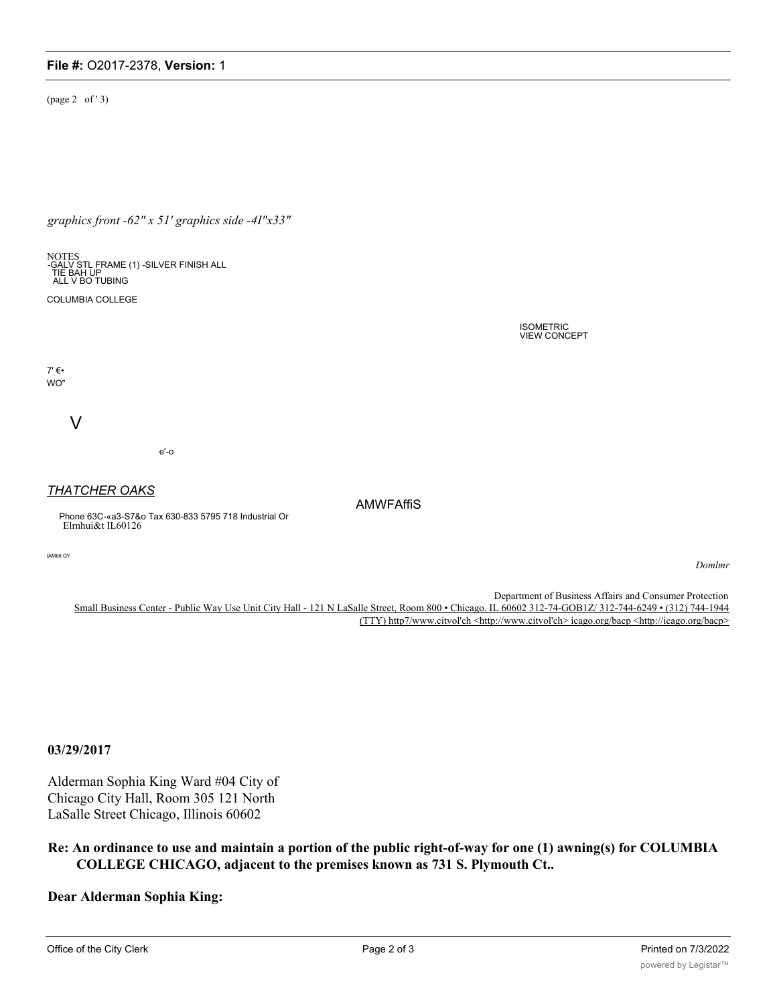# **File #:** O2017-2378, **Version:** 1

(page 2 of ' 3)

*graphics front -62" x 51' graphics side -4I"x33"*

NOTES<br>-GALV STL FRAME (1) -SILVER FINISH ALL<br>TIE BAH UP<br>ALL V BO TUBING

COLUMBIA COLLEGE

 $7' \in \bullet$ WO"

V

e'-o

### *THATCHER OAKS*

Phone 63C-«a3-S7&o Tax 630-833 5795 718 Industrial Or Elrnhui&t IL60126

tAMtttt QY

*Domlmr*

Department of Business Affairs and Consumer Protection Small Business Center - Public Way Use Unit City Hall - 121 N LaSalle Street, Room 800 • Chicago. IL 60602 312-74-GOB1Z/ 312-744-6249 • (312) 744-1944 (TTY) http7/www.citvol'ch <http://www.citvol'ch> icago.org/bacp <http://icago.org/bacp>

AMWFAffiS

ISOMETRIC VIEW CONCEPT

#### **03/29/2017**

Alderman Sophia King Ward #04 City of Chicago City Hall, Room 305 121 North LaSalle Street Chicago, Illinois 60602

**Re: An ordinance to use and maintain a portion of the public right-of-way for one (1) awning(s) for COLUMBIA COLLEGE CHICAGO, adjacent to the premises known as 731 S. Plymouth Ct..**

**Dear Alderman Sophia King:**